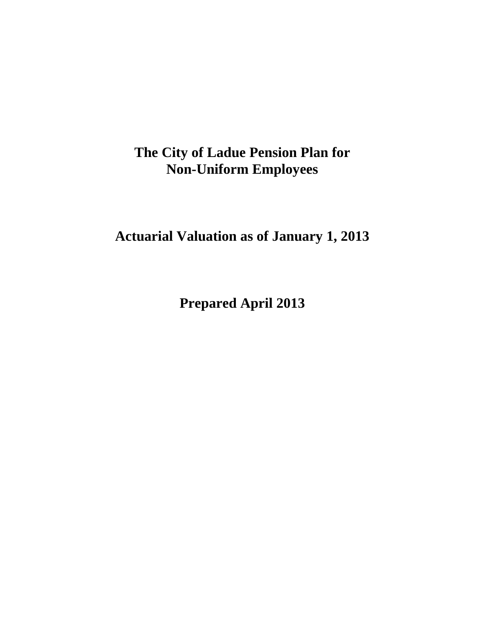**Actuarial Valuation as of January 1, 2013** 

**Prepared April 2013**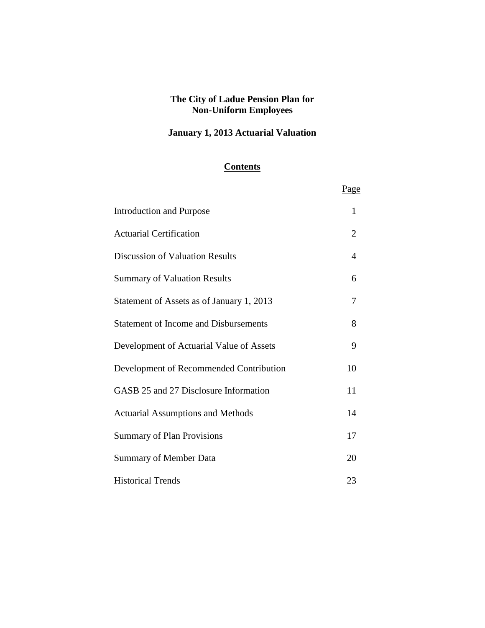## **January 1, 2013 Actuarial Valuation**

### **Contents**

|                                              | Page           |
|----------------------------------------------|----------------|
| <b>Introduction and Purpose</b>              | 1              |
| <b>Actuarial Certification</b>               | $\overline{2}$ |
| <b>Discussion of Valuation Results</b>       | 4              |
| <b>Summary of Valuation Results</b>          | 6              |
| Statement of Assets as of January 1, 2013    | 7              |
| <b>Statement of Income and Disbursements</b> | 8              |
| Development of Actuarial Value of Assets     | 9              |
| Development of Recommended Contribution      | 10             |
| GASB 25 and 27 Disclosure Information        | 11             |
| <b>Actuarial Assumptions and Methods</b>     | 14             |
| <b>Summary of Plan Provisions</b>            | 17             |
| <b>Summary of Member Data</b>                | 20             |
| <b>Historical Trends</b>                     | 23             |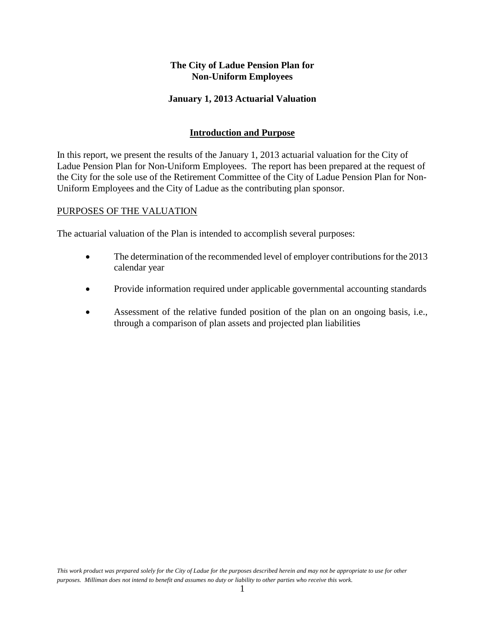#### **January 1, 2013 Actuarial Valuation**

#### **Introduction and Purpose**

In this report, we present the results of the January 1, 2013 actuarial valuation for the City of Ladue Pension Plan for Non-Uniform Employees. The report has been prepared at the request of the City for the sole use of the Retirement Committee of the City of Ladue Pension Plan for Non-Uniform Employees and the City of Ladue as the contributing plan sponsor.

#### PURPOSES OF THE VALUATION

The actuarial valuation of the Plan is intended to accomplish several purposes:

- The determination of the recommended level of employer contributions for the 2013 calendar year
- Provide information required under applicable governmental accounting standards
- Assessment of the relative funded position of the plan on an ongoing basis, i.e., through a comparison of plan assets and projected plan liabilities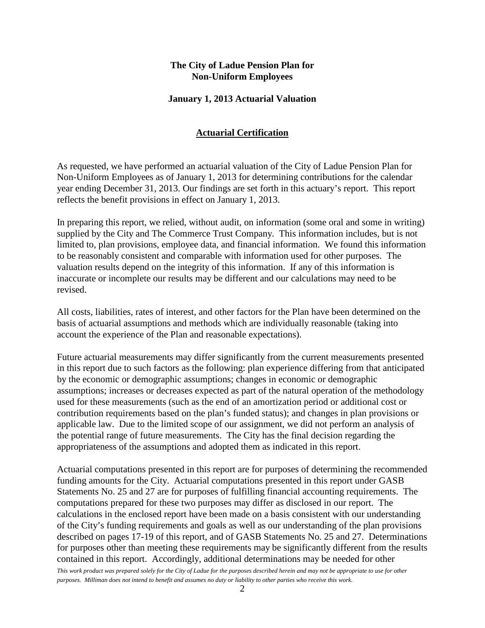#### **January 1, 2013 Actuarial Valuation**

#### **Actuarial Certification**

As requested, we have performed an actuarial valuation of the City of Ladue Pension Plan for Non-Uniform Employees as of January 1, 2013 for determining contributions for the calendar year ending December 31, 2013. Our findings are set forth in this actuary's report. This report reflects the benefit provisions in effect on January 1, 2013.

In preparing this report, we relied, without audit, on information (some oral and some in writing) supplied by the City and The Commerce Trust Company. This information includes, but is not limited to, plan provisions, employee data, and financial information. We found this information to be reasonably consistent and comparable with information used for other purposes. The valuation results depend on the integrity of this information. If any of this information is inaccurate or incomplete our results may be different and our calculations may need to be revised.

All costs, liabilities, rates of interest, and other factors for the Plan have been determined on the basis of actuarial assumptions and methods which are individually reasonable (taking into account the experience of the Plan and reasonable expectations).

Future actuarial measurements may differ significantly from the current measurements presented in this report due to such factors as the following: plan experience differing from that anticipated by the economic or demographic assumptions; changes in economic or demographic assumptions; increases or decreases expected as part of the natural operation of the methodology used for these measurements (such as the end of an amortization period or additional cost or contribution requirements based on the plan's funded status); and changes in plan provisions or applicable law. Due to the limited scope of our assignment, we did not perform an analysis of the potential range of future measurements. The City has the final decision regarding the appropriateness of the assumptions and adopted them as indicated in this report.

Actuarial computations presented in this report are for purposes of determining the recommended funding amounts for the City. Actuarial computations presented in this report under GASB Statements No. 25 and 27 are for purposes of fulfilling financial accounting requirements. The computations prepared for these two purposes may differ as disclosed in our report. The calculations in the enclosed report have been made on a basis consistent with our understanding of the City's funding requirements and goals as well as our understanding of the plan provisions described on pages 17-19 of this report, and of GASB Statements No. 25 and 27. Determinations for purposes other than meeting these requirements may be significantly different from the results contained in this report. Accordingly, additional determinations may be needed for other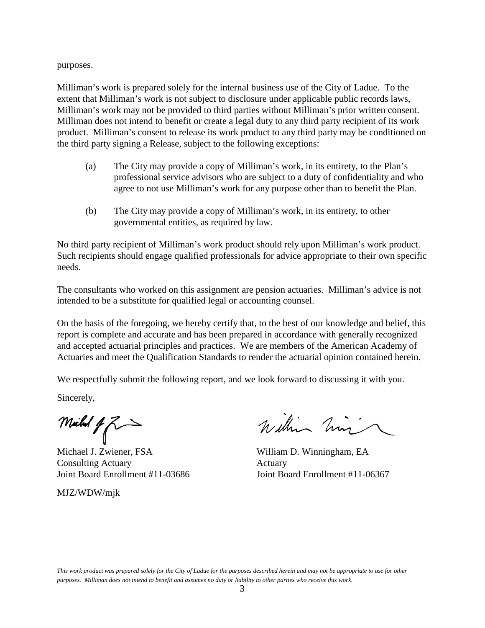purposes.

Milliman's work is prepared solely for the internal business use of the City of Ladue. To the extent that Milliman's work is not subject to disclosure under applicable public records laws, Milliman's work may not be provided to third parties without Milliman's prior written consent. Milliman does not intend to benefit or create a legal duty to any third party recipient of its work product. Milliman's consent to release its work product to any third party may be conditioned on the third party signing a Release, subject to the following exceptions:

- (a) The City may provide a copy of Milliman's work, in its entirety, to the Plan's professional service advisors who are subject to a duty of confidentiality and who agree to not use Milliman's work for any purpose other than to benefit the Plan.
- (b) The City may provide a copy of Milliman's work, in its entirety, to other governmental entities, as required by law.

No third party recipient of Milliman's work product should rely upon Milliman's work product. Such recipients should engage qualified professionals for advice appropriate to their own specific needs.

The consultants who worked on this assignment are pension actuaries. Milliman's advice is not intended to be a substitute for qualified legal or accounting counsel.

On the basis of the foregoing, we hereby certify that, to the best of our knowledge and belief, this report is complete and accurate and has been prepared in accordance with generally recognized and accepted actuarial principles and practices. We are members of the American Academy of Actuaries and meet the Qualification Standards to render the actuarial opinion contained herein.

We respectfully submit the following report, and we look forward to discussing it with you.

Sincerely,

Milled  $1/2$ 

Michael J. Zwiener, FSA Consulting Actuary **Actuary** Actuary Joint Board Enrollment #11-03686 Joint Board Enrollment #11-06367

MJZ/WDW/mjk

William him

William D. Winningham, EA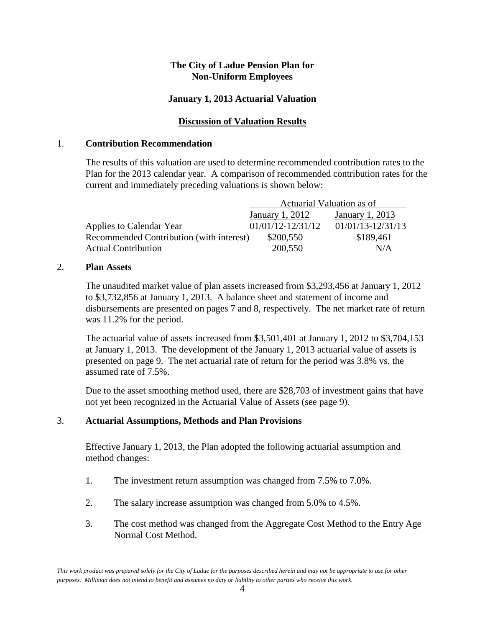#### **January 1, 2013 Actuarial Valuation**

#### **Discussion of Valuation Results**

#### 1. **Contribution Recommendation**

The results of this valuation are used to determine recommended contribution rates to the Plan for the 2013 calendar year. A comparison of recommended contribution rates for the current and immediately preceding valuations is shown below:

|                                          | Actuarial Valuation as of |                       |  |
|------------------------------------------|---------------------------|-----------------------|--|
|                                          | January 1, 2012           | January 1, 2013       |  |
| Applies to Calendar Year                 | $01/01/12 - 12/31/12$     | $01/01/13 - 12/31/13$ |  |
| Recommended Contribution (with interest) | \$200,550                 | \$189,461             |  |
| <b>Actual Contribution</b>               | 200,550                   | N/A                   |  |

#### 2. **Plan Assets**

The unaudited market value of plan assets increased from \$3,293,456 at January 1, 2012 to \$3,732,856 at January 1, 2013. A balance sheet and statement of income and disbursements are presented on pages 7 and 8, respectively. The net market rate of return was 11.2% for the period.

The actuarial value of assets increased from \$3,501,401 at January 1, 2012 to \$3,704,153 at January 1, 2013. The development of the January 1, 2013 actuarial value of assets is presented on page 9. The net actuarial rate of return for the period was 3.8% vs. the assumed rate of 7.5%.

Due to the asset smoothing method used, there are \$28,703 of investment gains that have not yet been recognized in the Actuarial Value of Assets (see page 9).

#### 3. **Actuarial Assumptions, Methods and Plan Provisions**

Effective January 1, 2013, the Plan adopted the following actuarial assumption and method changes:

- 1. The investment return assumption was changed from 7.5% to 7.0%.
- 2. The salary increase assumption was changed from 5.0% to 4.5%.
- 3. The cost method was changed from the Aggregate Cost Method to the Entry Age Normal Cost Method.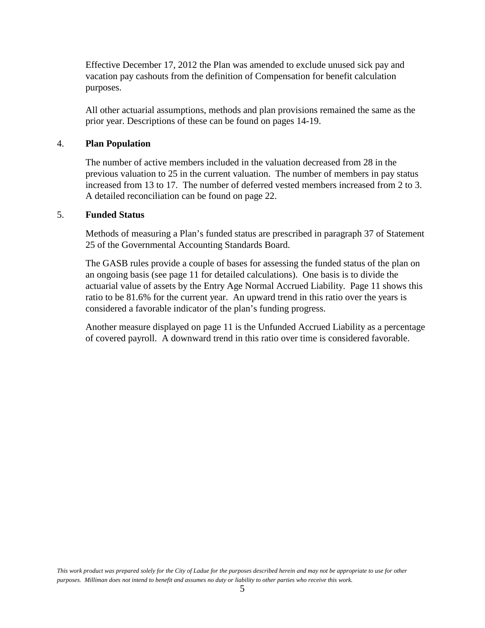Effective December 17, 2012 the Plan was amended to exclude unused sick pay and vacation pay cashouts from the definition of Compensation for benefit calculation purposes.

All other actuarial assumptions, methods and plan provisions remained the same as the prior year. Descriptions of these can be found on pages 14-19.

#### 4. **Plan Population**

The number of active members included in the valuation decreased from 28 in the previous valuation to 25 in the current valuation. The number of members in pay status increased from 13 to 17. The number of deferred vested members increased from 2 to 3. A detailed reconciliation can be found on page 22.

#### 5. **Funded Status**

Methods of measuring a Plan's funded status are prescribed in paragraph 37 of Statement 25 of the Governmental Accounting Standards Board.

The GASB rules provide a couple of bases for assessing the funded status of the plan on an ongoing basis (see page 11 for detailed calculations). One basis is to divide the actuarial value of assets by the Entry Age Normal Accrued Liability. Page 11 shows this ratio to be 81.6% for the current year. An upward trend in this ratio over the years is considered a favorable indicator of the plan's funding progress.

Another measure displayed on page 11 is the Unfunded Accrued Liability as a percentage of covered payroll. A downward trend in this ratio over time is considered favorable.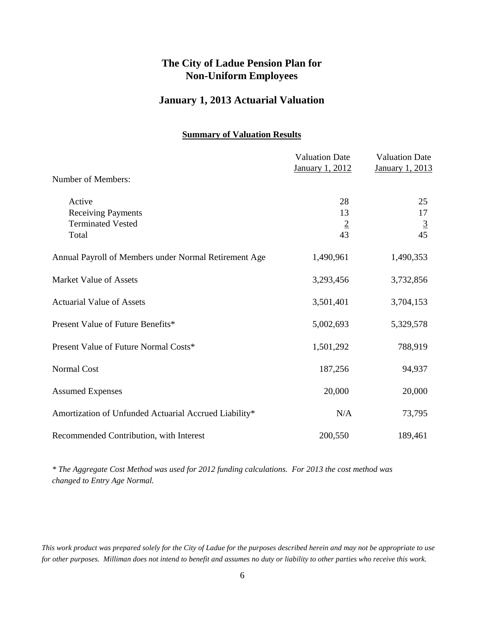#### **January 1, 2013 Actuarial Valuation**

#### **Summary of Valuation Results**

|                                                                          | <b>Valuation Date</b><br>January 1, 2012 | <b>Valuation Date</b><br>January 1, 2013 |
|--------------------------------------------------------------------------|------------------------------------------|------------------------------------------|
| Number of Members:                                                       |                                          |                                          |
| Active<br><b>Receiving Payments</b><br><b>Terminated Vested</b><br>Total | 28<br>13<br>$\frac{2}{43}$               | 25<br>17<br>$\overline{3}$<br>45         |
| Annual Payroll of Members under Normal Retirement Age                    | 1,490,961                                | 1,490,353                                |
| <b>Market Value of Assets</b>                                            | 3,293,456                                | 3,732,856                                |
| <b>Actuarial Value of Assets</b>                                         | 3,501,401                                | 3,704,153                                |
| Present Value of Future Benefits*                                        | 5,002,693                                | 5,329,578                                |
| Present Value of Future Normal Costs*                                    | 1,501,292                                | 788,919                                  |
| Normal Cost                                                              | 187,256                                  | 94,937                                   |
| <b>Assumed Expenses</b>                                                  | 20,000                                   | 20,000                                   |
| Amortization of Unfunded Actuarial Accrued Liability*                    | N/A                                      | 73,795                                   |
| Recommended Contribution, with Interest                                  | 200,550                                  | 189,461                                  |

*\* The Aggregate Cost Method was used for 2012 funding calculations. For 2013 the cost method was changed to Entry Age Normal.*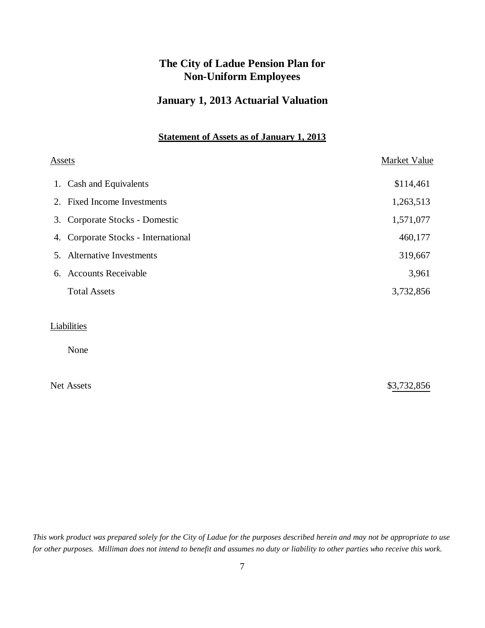### **January 1, 2013 Actuarial Valuation**

#### **Statement of Assets as of January 1, 2013**

|    | <u>Assets</u>                       | Market Value |  |  |
|----|-------------------------------------|--------------|--|--|
|    | 1. Cash and Equivalents             | \$114,461    |  |  |
|    | 2. Fixed Income Investments         | 1,263,513    |  |  |
|    | 3. Corporate Stocks - Domestic      | 1,571,077    |  |  |
|    | 4. Corporate Stocks - International | 460,177      |  |  |
| 5. | <b>Alternative Investments</b>      | 319,667      |  |  |
| 6. | <b>Accounts Receivable</b>          | 3,961        |  |  |
|    | <b>Total Assets</b>                 | 3,732,856    |  |  |
|    |                                     |              |  |  |
|    | Liabilities                         |              |  |  |
|    | None                                |              |  |  |

Net Assets \$3,732,856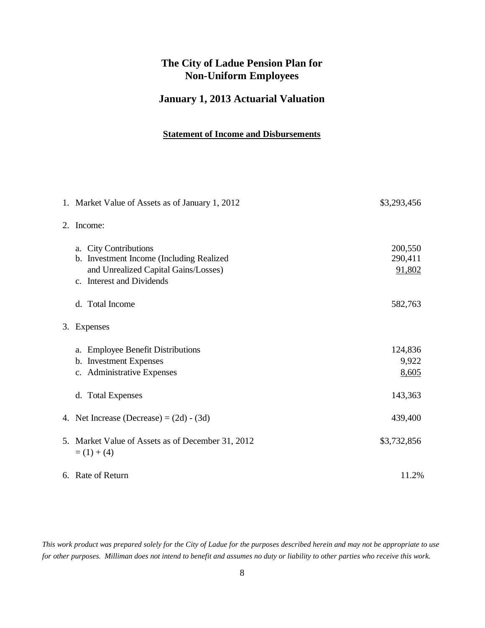### **January 1, 2013 Actuarial Valuation**

#### **Statement of Income and Disbursements**

|    | 1. Market Value of Assets as of January 1, 2012                                                                                        | \$3,293,456                  |
|----|----------------------------------------------------------------------------------------------------------------------------------------|------------------------------|
| 2. | Income:                                                                                                                                |                              |
|    | a. City Contributions<br>b. Investment Income (Including Realized<br>and Unrealized Capital Gains/Losses)<br>c. Interest and Dividends | 200,550<br>290,411<br>91,802 |
|    | d. Total Income                                                                                                                        | 582,763                      |
| 3. | Expenses                                                                                                                               |                              |
|    | <b>Employee Benefit Distributions</b><br>a.<br>b. Investment Expenses<br>c. Administrative Expenses                                    | 124,836<br>9,922<br>8,605    |
|    | d. Total Expenses                                                                                                                      | 143,363                      |
|    | 4. Net Increase (Decrease) = $(2d) - (3d)$                                                                                             | 439,400                      |
| 5. | Market Value of Assets as of December 31, 2012<br>$= (1) + (4)$                                                                        | \$3,732,856                  |
|    | 6. Rate of Return                                                                                                                      | 11.2%                        |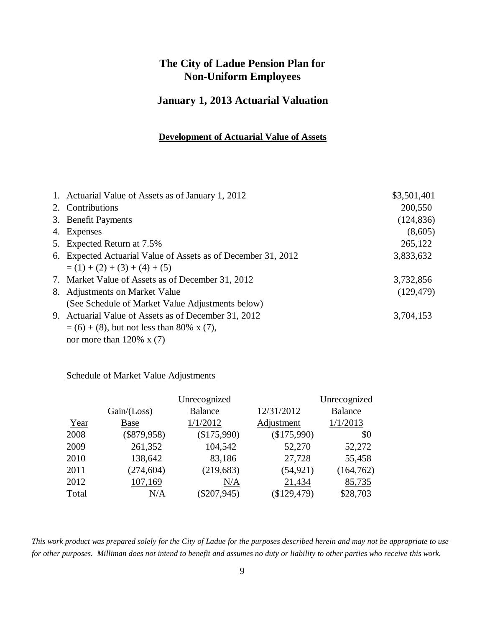### **January 1, 2013 Actuarial Valuation**

#### **Development of Actuarial Value of Assets**

| 1. Actuarial Value of Assets as of January 1, 2012            | \$3,501,401 |
|---------------------------------------------------------------|-------------|
| 2. Contributions                                              | 200,550     |
| 3. Benefit Payments                                           | (124, 836)  |
| 4. Expenses                                                   | (8,605)     |
| 5. Expected Return at 7.5%                                    | 265,122     |
| 6. Expected Actuarial Value of Assets as of December 31, 2012 | 3,833,632   |
| $= (1) + (2) + (3) + (4) + (5)$                               |             |
| 7. Market Value of Assets as of December 31, 2012             | 3,732,856   |
| 8. Adjustments on Market Value                                | (129, 479)  |
| (See Schedule of Market Value Adjustments below)              |             |
| 9. Actuarial Value of Assets as of December 31, 2012          | 3,704,153   |
| $=$ (6) + (8), but not less than 80% x (7),                   |             |
| nor more than $120\% \times (7)$                              |             |

### Schedule of Market Value Adjustments

|       |               | Unrecognized   |             | Unrecognized   |
|-------|---------------|----------------|-------------|----------------|
|       | Gain / (Loss) | <b>Balance</b> | 12/31/2012  | <b>Balance</b> |
| Year  | <b>Base</b>   | 1/1/2012       | Adjustment  | 1/1/2013       |
| 2008  | $(\$879,958)$ | (\$175,990)    | (\$175,990) | \$0            |
| 2009  | 261,352       | 104,542        | 52,270      | 52,272         |
| 2010  | 138,642       | 83,186         | 27,728      | 55,458         |
| 2011  | (274, 604)    | (219, 683)     | (54, 921)   | (164, 762)     |
| 2012  | 107,169       | N/A            | 21,434      | 85,735         |
| Total | N/A           | $(\$207,945)$  | (\$129,479) | \$28,703       |
|       |               |                |             |                |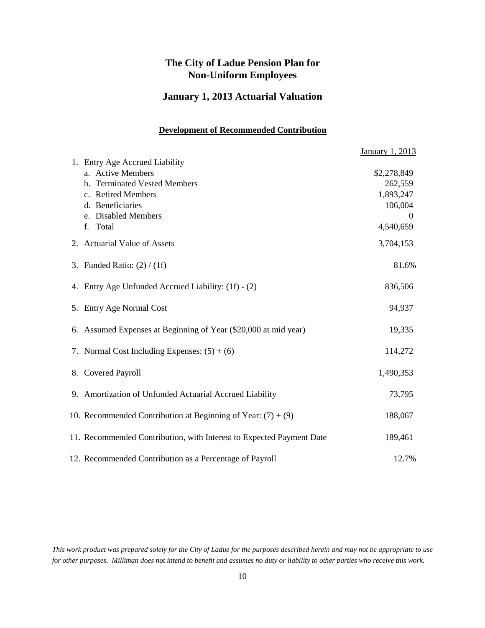### **January 1, 2013 Actuarial Valuation**

#### **Development of Recommended Contribution**

|                                                                      | January 1, 2013 |
|----------------------------------------------------------------------|-----------------|
| 1. Entry Age Accrued Liability                                       |                 |
| a. Active Members                                                    | \$2,278,849     |
| b. Terminated Vested Members                                         | 262,559         |
| c. Retired Members                                                   | 1,893,247       |
| d. Beneficiaries                                                     | 106,004         |
| e. Disabled Members                                                  |                 |
| f. Total                                                             | 4,540,659       |
| 2. Actuarial Value of Assets                                         | 3,704,153       |
| 3. Funded Ratio: $(2) / (1f)$                                        | 81.6%           |
| 4. Entry Age Unfunded Accrued Liability: (1f) - (2)                  | 836,506         |
| 5. Entry Age Normal Cost                                             | 94,937          |
| 6. Assumed Expenses at Beginning of Year (\$20,000 at mid year)      | 19,335          |
| 7. Normal Cost Including Expenses: $(5) + (6)$                       | 114,272         |
| 8. Covered Payroll                                                   | 1,490,353       |
| 9. Amortization of Unfunded Actuarial Accrued Liability              | 73,795          |
| 10. Recommended Contribution at Beginning of Year: $(7) + (9)$       | 188,067         |
| 11. Recommended Contribution, with Interest to Expected Payment Date | 189,461         |
| 12. Recommended Contribution as a Percentage of Payroll              | 12.7%           |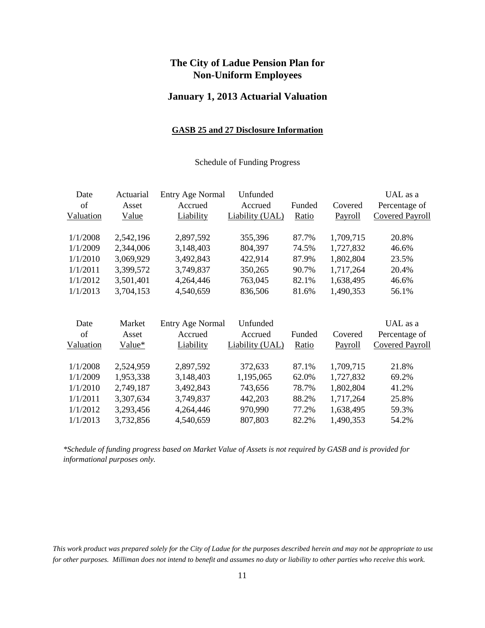#### **January 1, 2013 Actuarial Valuation**

#### **GASB 25 and 27 Disclosure Information**

#### Schedule of Funding Progress

| Date      | Actuarial | <b>Entry Age Normal</b> | Unfunded        |        |           | UAL as a               |
|-----------|-----------|-------------------------|-----------------|--------|-----------|------------------------|
| of        | Asset     | Accrued                 | Accrued         | Funded | Covered   | Percentage of          |
| Valuation | Value     | Liability               | Liability (UAL) | Ratio  | Payroll   | <b>Covered Payroll</b> |
| 1/1/2008  | 2,542,196 | 2,897,592               | 355,396         | 87.7%  | 1,709,715 | 20.8%                  |
| 1/1/2009  | 2,344,006 | 3,148,403               | 804,397         | 74.5%  | 1,727,832 | 46.6%                  |
| 1/1/2010  | 3,069,929 | 3,492,843               | 422,914         | 87.9%  | 1,802,804 | 23.5%                  |
| 1/1/2011  | 3,399,572 | 3,749,837               | 350,265         | 90.7%  | 1,717,264 | 20.4%                  |
| 1/1/2012  | 3,501,401 | 4,264,446               | 763,045         | 82.1%  | 1,638,495 | 46.6%                  |
| 1/1/2013  | 3,704,153 | 4,540,659               | 836,506         | 81.6%  | 1,490,353 | 56.1%                  |
|           |           |                         |                 |        |           |                        |
| Date      | Market    | <b>Entry Age Normal</b> | Unfunded        |        |           | UAL as a               |
| of        | Asset     | Accrued                 | Accrued         | Funded | Covered   | Percentage of          |
| Valuation | Value*    | Liability               | Liability (UAL) | Ratio  | Payroll   | <b>Covered Payroll</b> |
| 1/1/2008  | 2,524,959 | 2,897,592               | 372,633         | 87.1%  | 1,709,715 | 21.8%                  |
| 1/1/2009  | 1,953,338 | 3,148,403               | 1,195,065       | 62.0%  | 1,727,832 | 69.2%                  |
| 1/1/2010  | 2,749,187 | 3,492,843               | 743,656         | 78.7%  | 1,802,804 | 41.2%                  |
| 1/1/2011  | 3,307,634 | 3,749,837               | 442,203         | 88.2%  | 1,717,264 | 25.8%                  |
| 1/1/2012  | 3,293,456 | 4,264,446               | 970,990         | 77.2%  | 1,638,495 | 59.3%                  |
| 1/1/2013  | 3,732,856 | 4,540,659               | 807,803         | 82.2%  | 1,490,353 | 54.2%                  |
|           |           |                         |                 |        |           |                        |

*\*Schedule of funding progress based on Market Value of Assets is not required by GASB and is provided for informational purposes only.*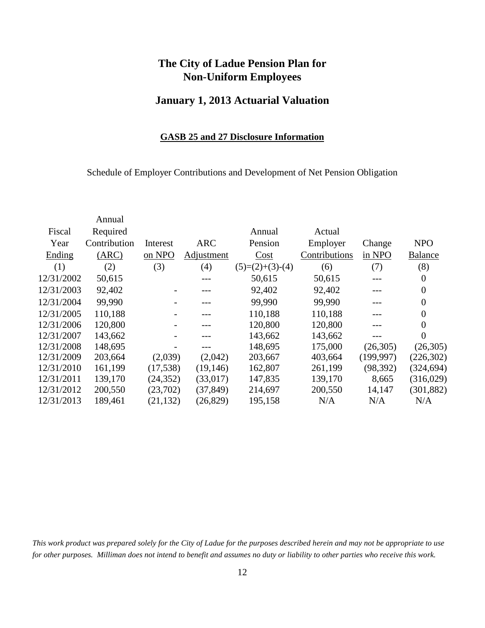### **January 1, 2013 Actuarial Valuation**

#### **GASB 25 and 27 Disclosure Information**

Schedule of Employer Contributions and Development of Net Pension Obligation

| Annual       |           |            |                   |               |            |                  |
|--------------|-----------|------------|-------------------|---------------|------------|------------------|
| Required     |           |            | Annual            | Actual        |            |                  |
| Contribution | Interest  | <b>ARC</b> | Pension           | Employer      | Change     | <b>NPO</b>       |
| (ARC)        | on NPO    | Adjustment | Cost              | Contributions | in NPO     | <b>Balance</b>   |
| (2)          | (3)       | (4)        | $(5)=(2)+(3)-(4)$ | (6)           | (7)        | (8)              |
| 50,615       |           |            | 50,615            | 50,615        |            | $\boldsymbol{0}$ |
| 92,402       |           |            | 92,402            | 92,402        |            | $\boldsymbol{0}$ |
| 99,990       |           |            | 99,990            | 99,990        |            | $\boldsymbol{0}$ |
| 110,188      |           |            | 110,188           | 110,188       |            | $\overline{0}$   |
| 120,800      |           |            | 120,800           | 120,800       |            | $\overline{0}$   |
| 143,662      |           |            | 143,662           | 143,662       |            | $\overline{0}$   |
| 148,695      |           |            | 148,695           | 175,000       | (26,305)   | (26,305)         |
| 203,664      | (2,039)   | (2,042)    | 203,667           | 403,664       | (199, 997) | (226, 302)       |
| 161,199      | (17,538)  | (19, 146)  | 162,807           | 261,199       | (98, 392)  | (324, 694)       |
| 139,170      | (24, 352) | (33,017)   | 147,835           | 139,170       | 8,665      | (316,029)        |
| 200,550      | (23,702)  | (37, 849)  | 214,697           | 200,550       | 14,147     | (301, 882)       |
| 189,461      | (21, 132) | (26, 829)  | 195,158           | N/A           | N/A        | N/A              |
|              |           |            |                   |               |            |                  |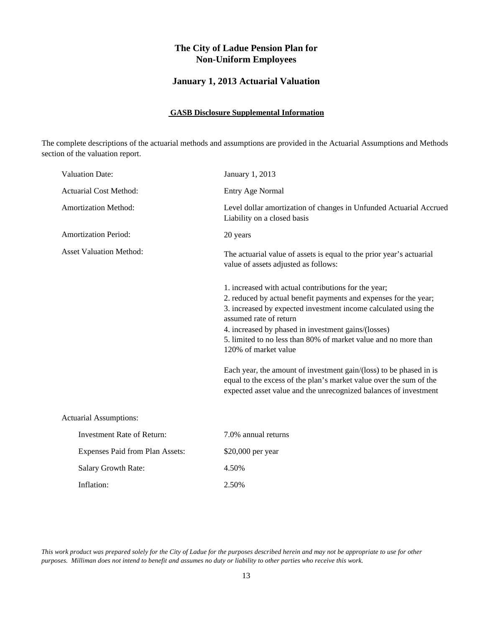#### **January 1, 2013 Actuarial Valuation**

#### **GASB Disclosure Supplemental Information**

The complete descriptions of the actuarial methods and assumptions are provided in the Actuarial Assumptions and Methods section of the valuation report.

| <b>Valuation Date:</b>            | January 1, 2013                                                                                                                                                                                                                                                                                                                                                                                                                                                                                                                                                                         |
|-----------------------------------|-----------------------------------------------------------------------------------------------------------------------------------------------------------------------------------------------------------------------------------------------------------------------------------------------------------------------------------------------------------------------------------------------------------------------------------------------------------------------------------------------------------------------------------------------------------------------------------------|
| <b>Actuarial Cost Method:</b>     | Entry Age Normal                                                                                                                                                                                                                                                                                                                                                                                                                                                                                                                                                                        |
| <b>Amortization Method:</b>       | Level dollar amortization of changes in Unfunded Actuarial Accrued<br>Liability on a closed basis                                                                                                                                                                                                                                                                                                                                                                                                                                                                                       |
| <b>Amortization Period:</b>       | 20 years                                                                                                                                                                                                                                                                                                                                                                                                                                                                                                                                                                                |
| <b>Asset Valuation Method:</b>    | The actuarial value of assets is equal to the prior year's actuarial<br>value of assets adjusted as follows:                                                                                                                                                                                                                                                                                                                                                                                                                                                                            |
|                                   | 1. increased with actual contributions for the year;<br>2. reduced by actual benefit payments and expenses for the year;<br>3. increased by expected investment income calculated using the<br>assumed rate of return<br>4. increased by phased in investment gains/(losses)<br>5. limited to no less than 80% of market value and no more than<br>120% of market value<br>Each year, the amount of investment gain/(loss) to be phased in is<br>equal to the excess of the plan's market value over the sum of the<br>expected asset value and the unrecognized balances of investment |
| <b>Actuarial Assumptions:</b>     |                                                                                                                                                                                                                                                                                                                                                                                                                                                                                                                                                                                         |
| <b>Investment Rate of Return:</b> | 7.0% annual returns                                                                                                                                                                                                                                                                                                                                                                                                                                                                                                                                                                     |
| Expenses Paid from Plan Assets:   | \$20,000 per year                                                                                                                                                                                                                                                                                                                                                                                                                                                                                                                                                                       |
| <b>Salary Growth Rate:</b>        | 4.50%                                                                                                                                                                                                                                                                                                                                                                                                                                                                                                                                                                                   |
| Inflation:                        | 2.50%                                                                                                                                                                                                                                                                                                                                                                                                                                                                                                                                                                                   |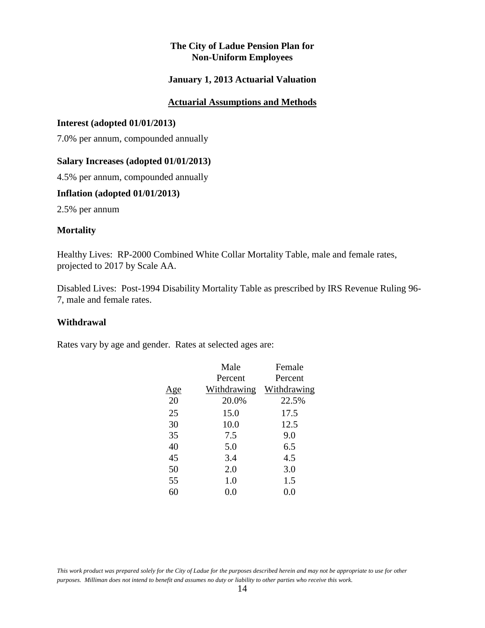#### **January 1, 2013 Actuarial Valuation**

#### **Actuarial Assumptions and Methods**

#### **Interest (adopted 01/01/2013)**

7.0% per annum, compounded annually

#### **Salary Increases (adopted 01/01/2013)**

4.5% per annum, compounded annually

#### **Inflation (adopted 01/01/2013)**

2.5% per annum

#### **Mortality**

Healthy Lives: RP-2000 Combined White Collar Mortality Table, male and female rates, projected to 2017 by Scale AA.

Disabled Lives: Post-1994 Disability Mortality Table as prescribed by IRS Revenue Ruling 96- 7, male and female rates.

#### **Withdrawal**

Rates vary by age and gender. Rates at selected ages are:

| Male        | Female      |
|-------------|-------------|
| Percent     | Percent     |
| Withdrawing | Withdrawing |
| 20.0%       | 22.5%       |
| 15.0        | 17.5        |
| 10.0        | 12.5        |
| 7.5         | 9.0         |
| 5.0         | 6.5         |
| 3.4         | 4.5         |
| 2.0         | 3.0         |
| 1.0         | 1.5         |
| 0.0         | $0.0\,$     |
|             |             |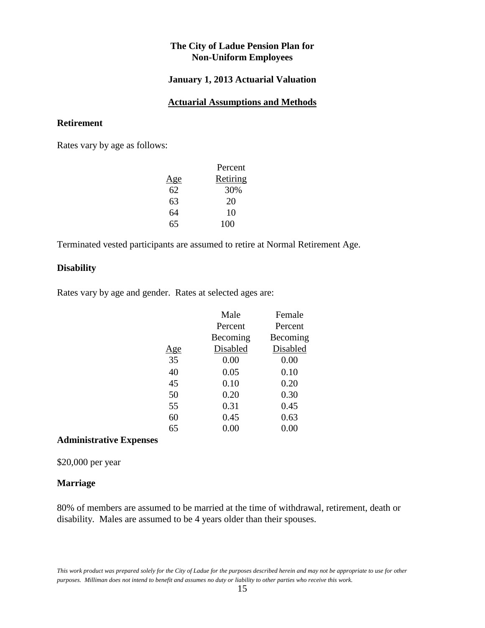#### **January 1, 2013 Actuarial Valuation**

#### **Actuarial Assumptions and Methods**

#### **Retirement**

Rates vary by age as follows:

|     | Percent  |
|-----|----------|
| Age | Retiring |
| 62  | 30%      |
| 63  | 20       |
| 64  | 10       |
| 65  | 100      |
|     |          |

Terminated vested participants are assumed to retire at Normal Retirement Age.

#### **Disability**

Rates vary by age and gender. Rates at selected ages are:

|            | Male     | Female   |
|------------|----------|----------|
|            | Percent  | Percent  |
|            | Becoming | Becoming |
| <u>Age</u> | Disabled | Disabled |
| 35         | 0.00     | 0.00     |
| 40         | 0.05     | 0.10     |
| 45         | 0.10     | 0.20     |
| 50         | 0.20     | 0.30     |
| 55         | 0.31     | 0.45     |
| 60         | 0.45     | 0.63     |
| 65         | $0.00\,$ | 0.00     |
|            |          |          |

#### **Administrative Expenses**

\$20,000 per year

#### **Marriage**

80% of members are assumed to be married at the time of withdrawal, retirement, death or disability. Males are assumed to be 4 years older than their spouses.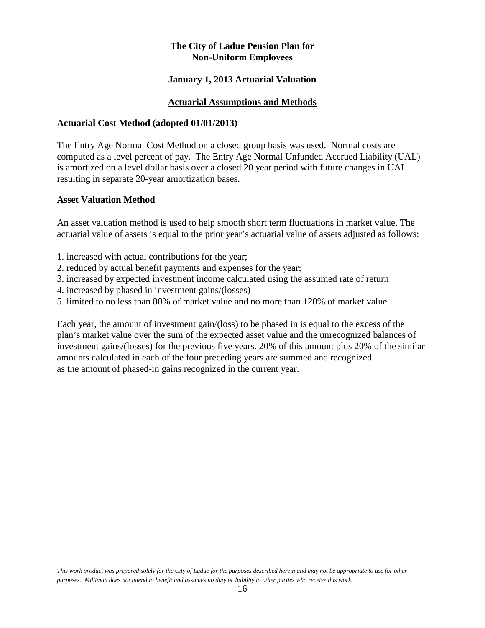#### **January 1, 2013 Actuarial Valuation**

#### **Actuarial Assumptions and Methods**

#### **Actuarial Cost Method (adopted 01/01/2013)**

The Entry Age Normal Cost Method on a closed group basis was used. Normal costs are computed as a level percent of pay. The Entry Age Normal Unfunded Accrued Liability (UAL) is amortized on a level dollar basis over a closed 20 year period with future changes in UAL resulting in separate 20-year amortization bases.

#### **Asset Valuation Method**

An asset valuation method is used to help smooth short term fluctuations in market value. The actuarial value of assets is equal to the prior year's actuarial value of assets adjusted as follows:

- 1. increased with actual contributions for the year;
- 2. reduced by actual benefit payments and expenses for the year;
- 3. increased by expected investment income calculated using the assumed rate of return
- 4. increased by phased in investment gains/(losses)
- 5. limited to no less than 80% of market value and no more than 120% of market value

Each year, the amount of investment gain/(loss) to be phased in is equal to the excess of the plan's market value over the sum of the expected asset value and the unrecognized balances of investment gains/(losses) for the previous five years. 20% of this amount plus 20% of the similar amounts calculated in each of the four preceding years are summed and recognized as the amount of phased-in gains recognized in the current year.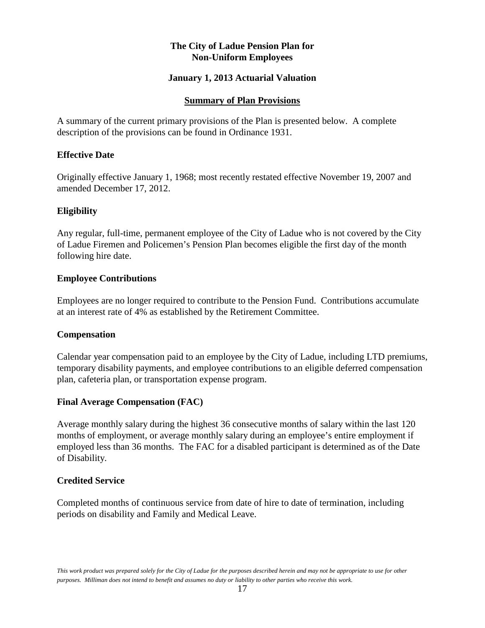#### **January 1, 2013 Actuarial Valuation**

#### **Summary of Plan Provisions**

A summary of the current primary provisions of the Plan is presented below. A complete description of the provisions can be found in Ordinance 1931.

#### **Effective Date**

Originally effective January 1, 1968; most recently restated effective November 19, 2007 and amended December 17, 2012.

#### **Eligibility**

Any regular, full-time, permanent employee of the City of Ladue who is not covered by the City of Ladue Firemen and Policemen's Pension Plan becomes eligible the first day of the month following hire date.

#### **Employee Contributions**

Employees are no longer required to contribute to the Pension Fund. Contributions accumulate at an interest rate of 4% as established by the Retirement Committee.

#### **Compensation**

Calendar year compensation paid to an employee by the City of Ladue, including LTD premiums, temporary disability payments, and employee contributions to an eligible deferred compensation plan, cafeteria plan, or transportation expense program.

#### **Final Average Compensation (FAC)**

Average monthly salary during the highest 36 consecutive months of salary within the last 120 months of employment, or average monthly salary during an employee's entire employment if employed less than 36 months. The FAC for a disabled participant is determined as of the Date of Disability.

#### **Credited Service**

Completed months of continuous service from date of hire to date of termination, including periods on disability and Family and Medical Leave.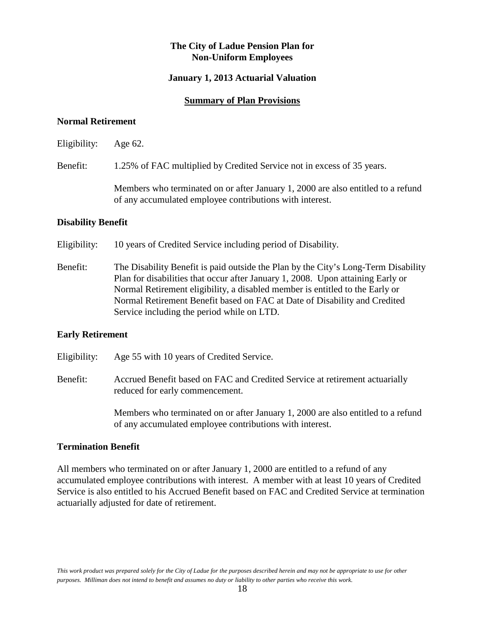#### **January 1, 2013 Actuarial Valuation**

#### **Summary of Plan Provisions**

#### **Normal Retirement**

Eligibility: Age 62.

Benefit: 1.25% of FAC multiplied by Credited Service not in excess of 35 years.

Members who terminated on or after January 1, 2000 are also entitled to a refund of any accumulated employee contributions with interest.

#### **Disability Benefit**

Eligibility: 10 years of Credited Service including period of Disability.

Benefit: The Disability Benefit is paid outside the Plan by the City's Long-Term Disability Plan for disabilities that occur after January 1, 2008. Upon attaining Early or Normal Retirement eligibility, a disabled member is entitled to the Early or Normal Retirement Benefit based on FAC at Date of Disability and Credited Service including the period while on LTD.

#### **Early Retirement**

Eligibility: Age 55 with 10 years of Credited Service.

Benefit: Accrued Benefit based on FAC and Credited Service at retirement actuarially reduced for early commencement.

> Members who terminated on or after January 1, 2000 are also entitled to a refund of any accumulated employee contributions with interest.

#### **Termination Benefit**

All members who terminated on or after January 1, 2000 are entitled to a refund of any accumulated employee contributions with interest. A member with at least 10 years of Credited Service is also entitled to his Accrued Benefit based on FAC and Credited Service at termination actuarially adjusted for date of retirement.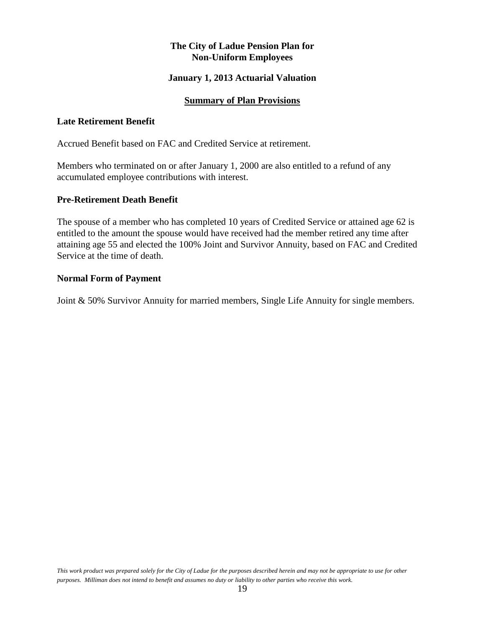#### **January 1, 2013 Actuarial Valuation**

#### **Summary of Plan Provisions**

#### **Late Retirement Benefit**

Accrued Benefit based on FAC and Credited Service at retirement.

Members who terminated on or after January 1, 2000 are also entitled to a refund of any accumulated employee contributions with interest.

#### **Pre-Retirement Death Benefit**

The spouse of a member who has completed 10 years of Credited Service or attained age 62 is entitled to the amount the spouse would have received had the member retired any time after attaining age 55 and elected the 100% Joint and Survivor Annuity, based on FAC and Credited Service at the time of death.

#### **Normal Form of Payment**

Joint & 50% Survivor Annuity for married members, Single Life Annuity for single members.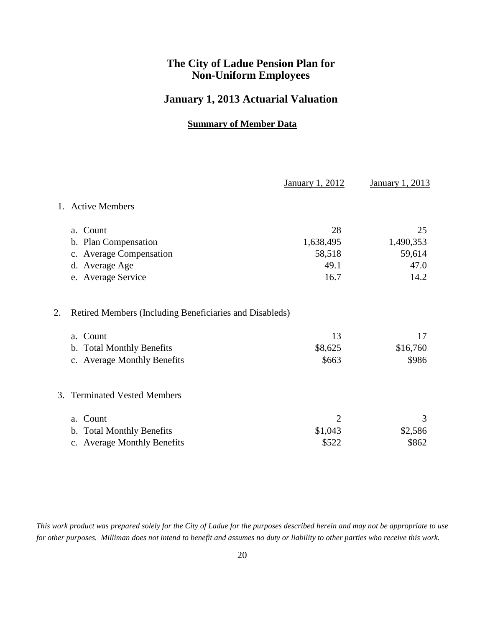### **January 1, 2013 Actuarial Valuation**

#### **Summary of Member Data**

|         |                                                         | <b>January 1, 2012</b> | <b>January 1, 2013</b> |
|---------|---------------------------------------------------------|------------------------|------------------------|
| $1_{-}$ | <b>Active Members</b>                                   |                        |                        |
|         | a. Count                                                | 28                     | 25                     |
|         | b. Plan Compensation                                    | 1,638,495              | 1,490,353              |
|         | c. Average Compensation                                 | 58,518                 | 59,614                 |
|         | d. Average Age                                          | 49.1                   | 47.0                   |
|         | e. Average Service                                      | 16.7                   | 14.2                   |
| 2.      | Retired Members (Including Beneficiaries and Disableds) |                        |                        |
|         | a. Count                                                | 13                     | 17                     |
|         | b. Total Monthly Benefits                               | \$8,625                | \$16,760               |
|         | c. Average Monthly Benefits                             | \$663                  | \$986                  |
| 3.      | <b>Terminated Vested Members</b>                        |                        |                        |
|         | a. Count                                                | $\overline{2}$         | 3                      |
|         | b. Total Monthly Benefits                               | \$1,043                | \$2,586                |
|         | c. Average Monthly Benefits                             | \$522                  | \$862                  |
|         |                                                         |                        |                        |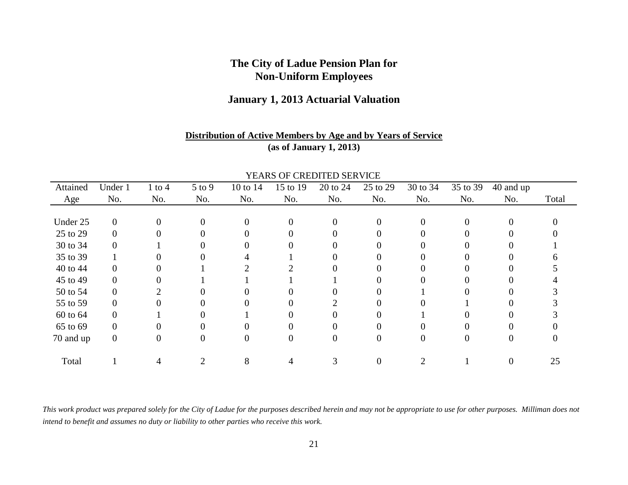### **January 1, 2013 Actuarial Valuation**

#### **Distribution of Active Members by Age and by Years of Service(as of January 1, 2013)**

|           |              |            |            |          |          | TEARS OF CREDITED SERVICE |          |          |          |           |       |
|-----------|--------------|------------|------------|----------|----------|---------------------------|----------|----------|----------|-----------|-------|
| Attained  | Under 1      | $1$ to $4$ | $5$ to $9$ | 10 to 14 | 15 to 19 | 20 to 24                  | 25 to 29 | 30 to 34 | 35 to 39 | 40 and up |       |
| Age       | No.          | No.        | No.        | No.      | No.      | No.                       | No.      | No.      | No.      | No.       | Total |
|           |              |            |            |          |          |                           |          |          |          |           |       |
| Under 25  | $\mathbf{0}$ | $\Omega$   | $\theta$   | $\theta$ |          | 0                         |          | $\Omega$ | $\Omega$ | 0         |       |
| 25 to 29  | $\Omega$     |            |            | 0        |          |                           |          |          |          | 0         |       |
| 30 to 34  | 0            |            |            |          |          |                           |          |          |          |           |       |
| 35 to 39  |              |            |            |          |          |                           |          |          |          |           |       |
| 40 to 44  | 0            |            |            |          |          |                           |          |          |          |           |       |
| 45 to 49  | 0            |            |            |          |          |                           |          |          |          |           |       |
| 50 to 54  | 0            |            |            |          |          |                           |          |          |          |           |       |
| 55 to 59  |              |            |            |          |          |                           |          |          |          |           |       |
| 60 to 64  | $\Omega$     |            |            |          |          |                           |          |          |          | 0         |       |
| 65 to 69  | 0            |            |            |          |          |                           |          |          |          |           |       |
| 70 and up | $\mathbf{0}$ |            | $\theta$   | $\theta$ |          | $\mathbf{\Omega}$         |          | $\theta$ | 0        | 0         |       |
| Total     |              |            |            | 8        |          |                           |          |          |          | 0         | 25    |
|           |              |            |            |          |          |                           |          |          |          |           |       |

YEARS OF CREDITED SERVICE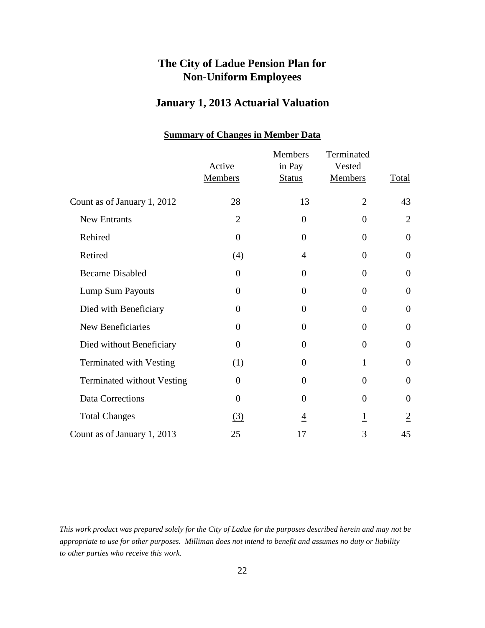## **January 1, 2013 Actuarial Valuation**

|                                   | Active<br><b>Members</b> | <b>Members</b><br>in Pay<br><b>Status</b> | Terminated<br>Vested<br><b>Members</b> | <b>Total</b>     |
|-----------------------------------|--------------------------|-------------------------------------------|----------------------------------------|------------------|
| Count as of January 1, 2012       | 28                       | 13                                        | $\overline{2}$                         | 43               |
| New Entrants                      | $\overline{2}$           | $\overline{0}$                            | $\Omega$                               | $\overline{2}$   |
| Rehired                           | $\overline{0}$           | $\overline{0}$                            | $\Omega$                               | $\overline{0}$   |
| Retired                           | (4)                      | 4                                         | $\Omega$                               | $\boldsymbol{0}$ |
| <b>Became Disabled</b>            | $\theta$                 | $\overline{0}$                            | $\overline{0}$                         | $\theta$         |
| Lump Sum Payouts                  | $\theta$                 | $\overline{0}$                            | $\theta$                               | $\overline{0}$   |
| Died with Beneficiary             | $\theta$                 | $\overline{0}$                            | $\Omega$                               | $\overline{0}$   |
| New Beneficiaries                 | $\theta$                 | $\overline{0}$                            | $\overline{0}$                         | $\theta$         |
| Died without Beneficiary          | $\theta$                 | $\boldsymbol{0}$                          | $\theta$                               | $\boldsymbol{0}$ |
| <b>Terminated with Vesting</b>    | (1)                      | $\overline{0}$                            | 1                                      | $\boldsymbol{0}$ |
| <b>Terminated without Vesting</b> | $\theta$                 | $\overline{0}$                            | $\theta$                               | $\overline{0}$   |
| Data Corrections                  | $\underline{0}$          | $\overline{0}$                            | $\underline{0}$                        | $\overline{0}$   |
| <b>Total Changes</b>              | (3)                      | $\overline{4}$                            |                                        | $\overline{2}$   |
| Count as of January 1, 2013       | 25                       | 17                                        | 3                                      | 45               |

#### **Summary of Changes in Member Data**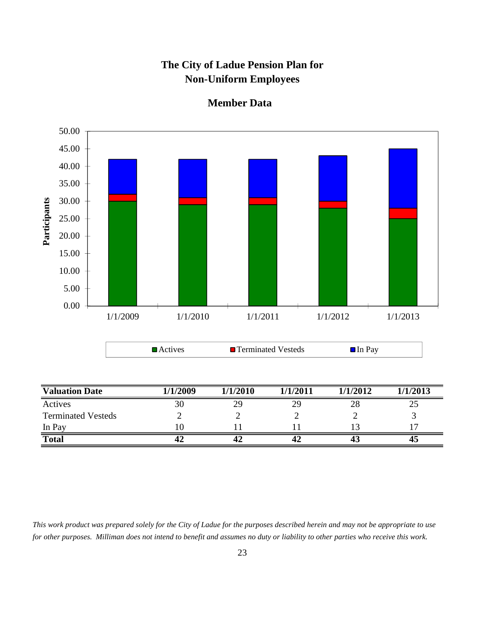

**Member Data**

*This work product was prepared solely for the City of Ladue for the purposes described herein and may not be appropriate to use for other purposes. Milliman does not intend to benefit and assumes no duty or liability to other parties who receive this work.*

**Total 42 42 42 43 45**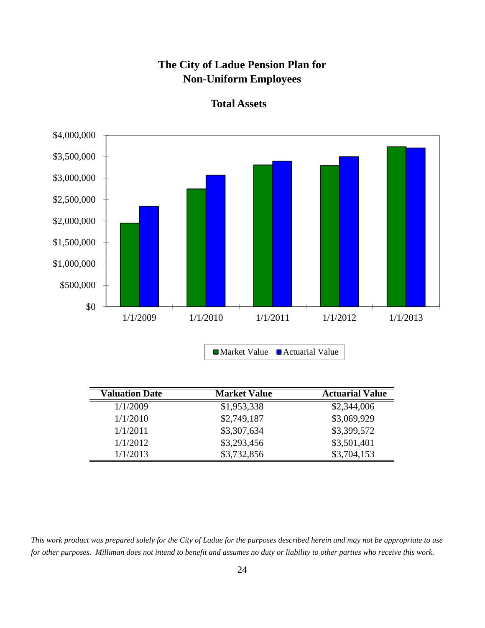

**Total Assets**

| <b>Valuation Date</b> | <b>Market Value</b> | <b>Actuarial Value</b> |
|-----------------------|---------------------|------------------------|
| 1/1/2009              | \$1,953,338         | \$2,344,006            |
| 1/1/2010              | \$2,749,187         | \$3,069,929            |
| 1/1/2011              | \$3,307,634         | \$3,399,572            |
| 1/1/2012              | \$3,293,456         | \$3,501,401            |
| 1/1/2013              | \$3,732,856         | \$3,704,153            |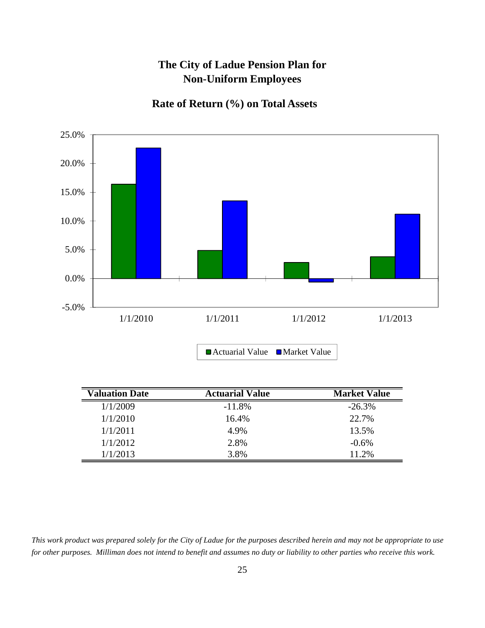## **Rate of Return (%) on Total Assets**



| <b>Valuation Date</b> | <b>Actuarial Value</b> | <b>Market Value</b> |
|-----------------------|------------------------|---------------------|
| 1/1/2009              | $-11.8\%$              | $-26.3\%$           |
| 1/1/2010              | 16.4%                  | 22.7%               |
| 1/1/2011              | 4.9%                   | 13.5%               |
| 1/1/2012              | 2.8%                   | $-0.6\%$            |
| 1/1/2013              | 3.8%                   | 11.2%               |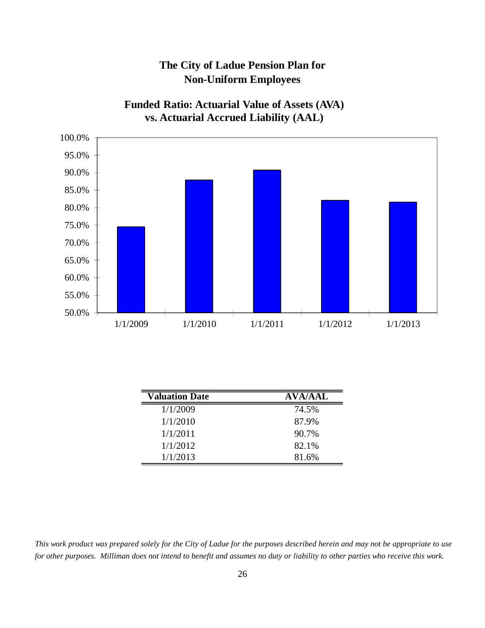

**Funded Ratio: Actuarial Value of Assets (AVA)**

| <b>Valuation Date</b> | <b>AVA/AAL</b> |
|-----------------------|----------------|
| 1/1/2009              | 74.5%          |
| 1/1/2010              | 87.9%          |
| 1/1/2011              | 90.7%          |
| 1/1/2012              | 82.1%          |
| 1/1/2013              | 81.6%          |

*This work product was prepared solely for the City of Ladue for the purposes described herein and may not be appropriate to use for other purposes. Milliman does not intend to benefit and assumes no duty or liability to other parties who receive this work.*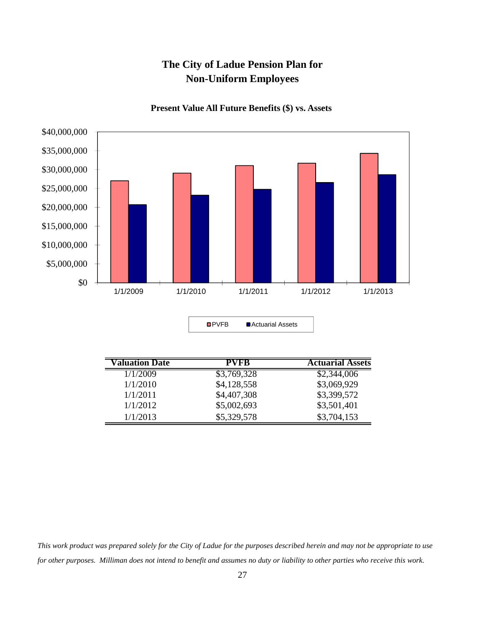

**Present Value All Future Benefits (\$) vs. Assets**

| ■ Actuarial Assets |
|--------------------|
|                    |

| <b>Valuation Date</b> | PVFB        | <b>Actuarial Assets</b> |
|-----------------------|-------------|-------------------------|
| 1/1/2009              | \$3,769,328 | \$2,344,006             |
| 1/1/2010              | \$4,128,558 | \$3,069,929             |
| 1/1/2011              | \$4,407,308 | \$3,399,572             |
| 1/1/2012              | \$5,002,693 | \$3,501,401             |
| 1/1/2013              | \$5,329,578 | \$3,704,153             |